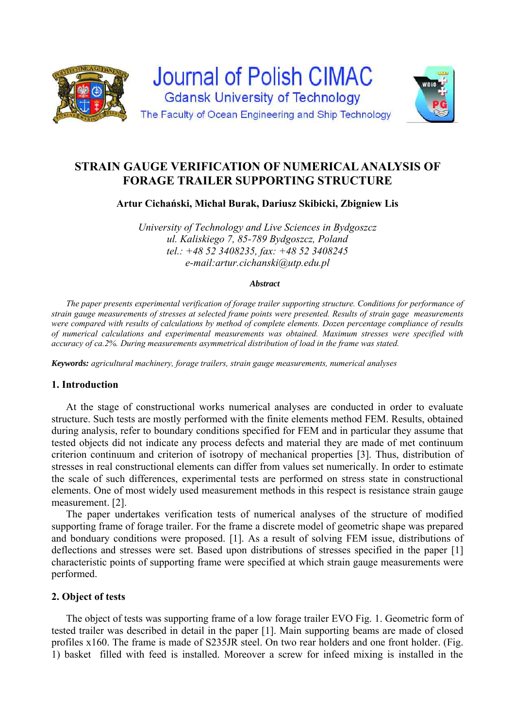



**Artur Cichański, Michał Burak, Dariusz Skibicki, Zbigniew Lis** 

*University of Technology and Live Sciences in Bydgoszcz ul. Kaliskiego 7, 85-789 Bydgoszcz, Poland tel.: +48 52 3408235, fax: +48 52 3408245 e-mail:artur.cichanski@utp.edu.pl* 

#### *Abstract*

*The paper presents experimental verification of forage trailer supporting structure. Conditions for performance of strain gauge measurements of stresses at selected frame points were presented. Results of strain gage measurements*  were compared with results of calculations by method of complete elements. Dozen percentage compliance of results *of numerical calculations and experimental measurements was obtained. Maximum stresses were specified with accuracy of ca.2%. During measurements asymmetrical distribution of load in the frame was stated.* 

*Keywords: agricultural machinery, forage trailers, strain gauge measurements, numerical analyses* 

#### **1. Introduction**

At the stage of constructional works numerical analyses are conducted in order to evaluate structure. Such tests are mostly performed with the finite elements method FEM. Results, obtained during analysis, refer to boundary conditions specified for FEM and in particular they assume that tested objects did not indicate any process defects and material they are made of met continuum criterion continuum and criterion of isotropy of mechanical properties [3]. Thus, distribution of stresses in real constructional elements can differ from values set numerically. In order to estimate the scale of such differences, experimental tests are performed on stress state in constructional elements. One of most widely used measurement methods in this respect is resistance strain gauge measurement. [2].

The paper undertakes verification tests of numerical analyses of the structure of modified supporting frame of forage trailer. For the frame a discrete model of geometric shape was prepared and bonduary conditions were proposed. [1]. As a result of solving FEM issue, distributions of deflections and stresses were set. Based upon distributions of stresses specified in the paper [1] characteristic points of supporting frame were specified at which strain gauge measurements were performed.

#### **2. Object of tests**

The object of tests was supporting frame of a low forage trailer EVO Fig. 1. Geometric form of tested trailer was described in detail in the paper [1]. Main supporting beams are made of closed profiles x160. The frame is made of S235JR steel. On two rear holders and one front holder. (Fig. 1) basket filled with feed is installed. Moreover a screw for infeed mixing is installed in the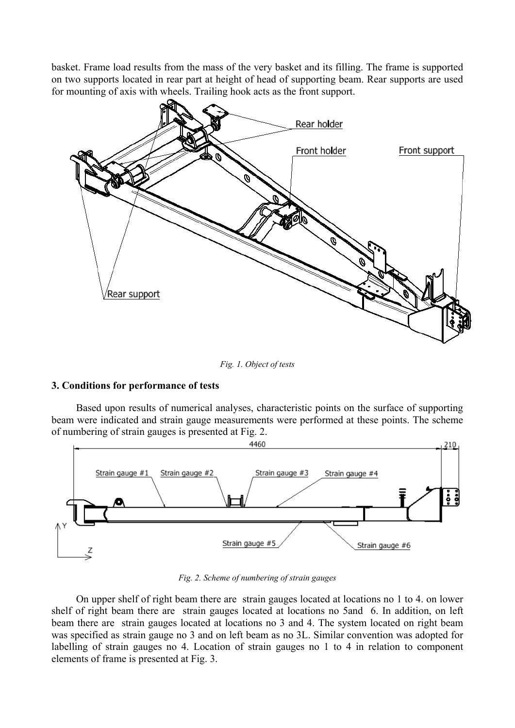basket. Frame load results from the mass of the very basket and its filling. The frame is supported on two supports located in rear part at height of head of supporting beam. Rear supports are used for mounting of axis with wheels. Trailing hook acts as the front support.



*Fig. 1. Object of tests* 

## **3. Conditions for performance of tests**

Based upon results of numerical analyses, characteristic points on the surface of supporting beam were indicated and strain gauge measurements were performed at these points. The scheme of numbering of strain gauges is presented at Fig. 2.



*Fig. 2. Scheme of numbering of strain gauges* 

On upper shelf of right beam there are strain gauges located at locations no 1 to 4. on lower shelf of right beam there are strain gauges located at locations no 5and 6. In addition, on left beam there are strain gauges located at locations no 3 and 4. The system located on right beam was specified as strain gauge no 3 and on left beam as no 3L. Similar convention was adopted for labelling of strain gauges no 4. Location of strain gauges no 1 to 4 in relation to component elements of frame is presented at Fig. 3.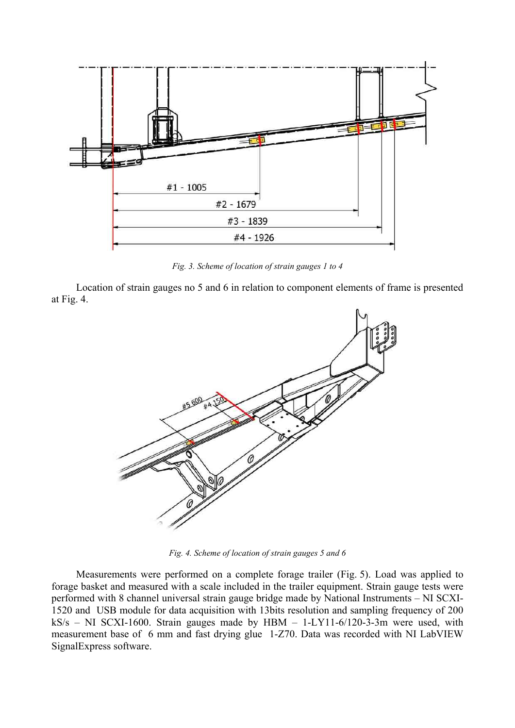

*Fig. 3. Scheme of location of strain gauges 1 to 4* 

Location of strain gauges no 5 and 6 in relation to component elements of frame is presented at Fig. 4.



*Fig. 4. Scheme of location of strain gauges 5 and 6* 

Measurements were performed on a complete forage trailer (Fig. 5). Load was applied to forage basket and measured with a scale included in the trailer equipment. Strain gauge tests were performed with 8 channel universal strain gauge bridge made by National Instruments – NI SCXI-1520 and USB module for data acquisition with 13bits resolution and sampling frequency of 200  $kS/s$  – NI SCXI-1600. Strain gauges made by HBM – 1-LY11-6/120-3-3m were used, with measurement base of 6 mm and fast drying glue 1-Z70. Data was recorded with NI LabVIEW SignalExpress software.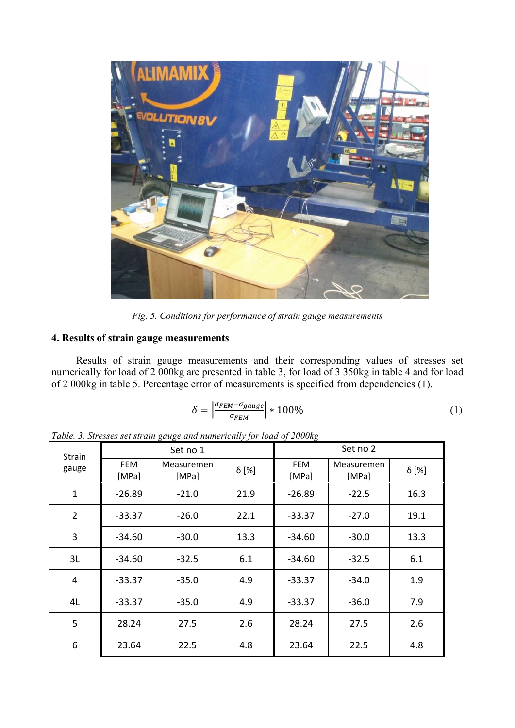

*Fig. 5. Conditions for performance of strain gauge measurements* 

# **4. Results of strain gauge measurements**

Results of strain gauge measurements and their corresponding values of stresses set numerically for load of 2 000kg are presented in table 3, for load of 3 350kg in table 4 and for load of 2 000kg in table 5. Percentage error of measurements is specified from dependencies (1).

$$
\delta = \left| \frac{\sigma_{FEM} - \sigma_{gauge}}{\sigma_{FEM}} \right| * 100\% \tag{1}
$$

| <b>Strain</b><br>gauge | Set no 1            |                     |              | Set no 2            |                     |              |
|------------------------|---------------------|---------------------|--------------|---------------------|---------------------|--------------|
|                        | <b>FEM</b><br>[MPa] | Measuremen<br>[MPa] | $\delta$ [%] | <b>FEM</b><br>[MPa] | Measuremen<br>[MPa] | $\delta$ [%] |
| $\mathbf{1}$           | $-26.89$            | $-21.0$             | 21.9         | $-26.89$            | $-22.5$             | 16.3         |
| $\overline{2}$         | $-33.37$            | $-26.0$             | 22.1         | $-33.37$            | $-27.0$             | 19.1         |
| 3                      | -34.60              | $-30.0$             | 13.3         | $-34.60$            | $-30.0$             | 13.3         |
| 3L                     | -34.60              | $-32.5$             | 6.1          | $-34.60$            | $-32.5$             | 6.1          |
| 4                      | $-33.37$            | $-35.0$             | 4.9          | -33.37              | $-34.0$             | 1.9          |
| 4L                     | $-33.37$            | $-35.0$             | 4.9          | $-33.37$            | $-36.0$             | 7.9          |
| 5                      | 28.24               | 27.5                | 2.6          | 28.24               | 27.5                | 2.6          |
| 6                      | 23.64               | 22.5                | 4.8          | 23.64               | 22.5                | 4.8          |

*Table. 3. Stresses set strain gauge and numerically for load of 2000kg*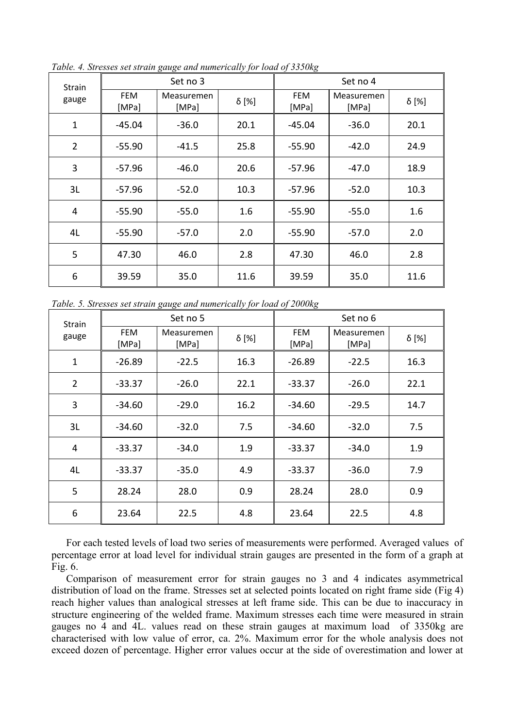| <b>Strain</b><br>gauge | Set no 3            |                     |       | Set no 4            |                     |       |
|------------------------|---------------------|---------------------|-------|---------------------|---------------------|-------|
|                        | <b>FEM</b><br>[MPa] | Measuremen<br>[MPa] | δ [%] | <b>FEM</b><br>[MPa] | Measuremen<br>[MPa] | δ [%] |
| $\mathbf{1}$           | $-45.04$            | $-36.0$             | 20.1  | $-45.04$            | $-36.0$             | 20.1  |
| $\overline{2}$         | -55.90              | $-41.5$             | 25.8  | $-55.90$            | $-42.0$             | 24.9  |
| 3                      | $-57.96$            | $-46.0$             | 20.6  | $-57.96$            | $-47.0$             | 18.9  |
| 3L                     | $-57.96$            | $-52.0$             | 10.3  | $-57.96$            | $-52.0$             | 10.3  |
| 4                      | $-55.90$            | $-55.0$             | 1.6   | $-55.90$            | $-55.0$             | 1.6   |
| 4L                     | $-55.90$            | $-57.0$             | 2.0   | $-55.90$            | $-57.0$             | 2.0   |
| 5                      | 47.30               | 46.0                | 2.8   | 47.30               | 46.0                | 2.8   |
| 6                      | 39.59               | 35.0                | 11.6  | 39.59               | 35.0                | 11.6  |

*Table. 4. Stresses set strain gauge and numerically for load of 3350kg* 

*Table. 5. Stresses set strain gauge and numerically for load of 2000kg* 

| <b>Strain</b><br>gauge | Set no 5            |                     |              | Set no 6            |                     |              |
|------------------------|---------------------|---------------------|--------------|---------------------|---------------------|--------------|
|                        | <b>FEM</b><br>[MPa] | Measuremen<br>[MPa] | $\delta$ [%] | <b>FEM</b><br>[MPa] | Measuremen<br>[MPa] | $\delta$ [%] |
| $\mathbf{1}$           | $-26.89$            | $-22.5$             | 16.3         | $-26.89$            | $-22.5$             | 16.3         |
| $\overline{2}$         | $-33.37$            | $-26.0$             | 22.1         | $-33.37$            | $-26.0$             | 22.1         |
| 3                      | $-34.60$            | $-29.0$             | 16.2         | $-34.60$            | $-29.5$             | 14.7         |
| 3L                     | -34.60              | $-32.0$             | 7.5          | $-34.60$            | $-32.0$             | 7.5          |
| 4                      | $-33.37$            | $-34.0$             | 1.9          | $-33.37$            | $-34.0$             | 1.9          |
| 4L                     | $-33.37$            | $-35.0$             | 4.9          | $-33.37$            | $-36.0$             | 7.9          |
| 5                      | 28.24               | 28.0                | 0.9          | 28.24               | 28.0                | 0.9          |
| 6                      | 23.64               | 22.5                | 4.8          | 23.64               | 22.5                | 4.8          |

For each tested levels of load two series of measurements were performed. Averaged values of percentage error at load level for individual strain gauges are presented in the form of a graph at Fig. 6.

Comparison of measurement error for strain gauges no 3 and 4 indicates asymmetrical distribution of load on the frame. Stresses set at selected points located on right frame side (Fig 4) reach higher values than analogical stresses at left frame side. This can be due to inaccuracy in structure engineering of the welded frame. Maximum stresses each time were measured in strain gauges no 4 and 4L. values read on these strain gauges at maximum load of 3350kg are characterised with low value of error, ca. 2%. Maximum error for the whole analysis does not exceed dozen of percentage. Higher error values occur at the side of overestimation and lower at